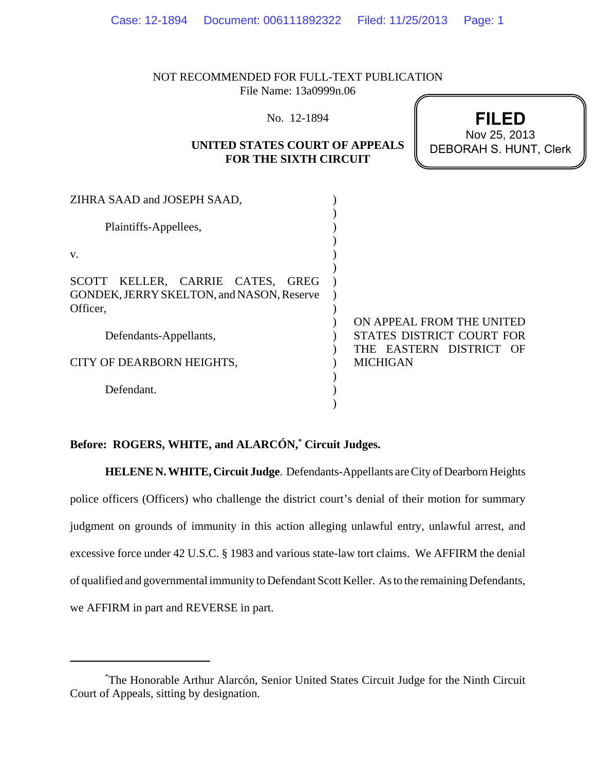NOT RECOMMENDED FOR FULL-TEXT PUBLICATION File Name: 13a0999n.06

No. 12-1894

# **UNITED STATES COURT OF APPEALS FOR THE SIXTH CIRCUIT**

**FILED** DEBORAH S. HUNT, Clerk Nov 25, 2013

| Plaintiffs-Appellees,                               |  |
|-----------------------------------------------------|--|
|                                                     |  |
|                                                     |  |
|                                                     |  |
| V.                                                  |  |
|                                                     |  |
| SCOTT KELLER, CARRIE CATES, GREG                    |  |
| GONDEK, JERRY SKELTON, and NASON, Reserve           |  |
| Officer,                                            |  |
| ON APPEAL FROM THE UNITED                           |  |
| STATES DISTRICT COURT FOR<br>Defendants-Appellants, |  |
| THE EASTERN DISTRICT OF                             |  |
| <b>MICHIGAN</b><br>CITY OF DEARBORN HEIGHTS,        |  |
|                                                     |  |
| Defendant.                                          |  |
|                                                     |  |

# **Before: ROGERS, WHITE, and ALARCÓN,\* Circuit Judges.**

**HELENE N. WHITE, Circuit Judge**. Defendants-Appellants are City of Dearborn Heights police officers (Officers) who challenge the district court's denial of their motion for summary judgment on grounds of immunity in this action alleging unlawful entry, unlawful arrest, and excessive force under 42 U.S.C. § 1983 and various state-law tort claims. We AFFIRM the denial of qualified and governmental immunity to Defendant Scott Keller. As to the remaining Defendants, we AFFIRM in part and REVERSE in part.

<sup>\*</sup> The Honorable Arthur Alarcón, Senior United States Circuit Judge for the Ninth Circuit Court of Appeals, sitting by designation.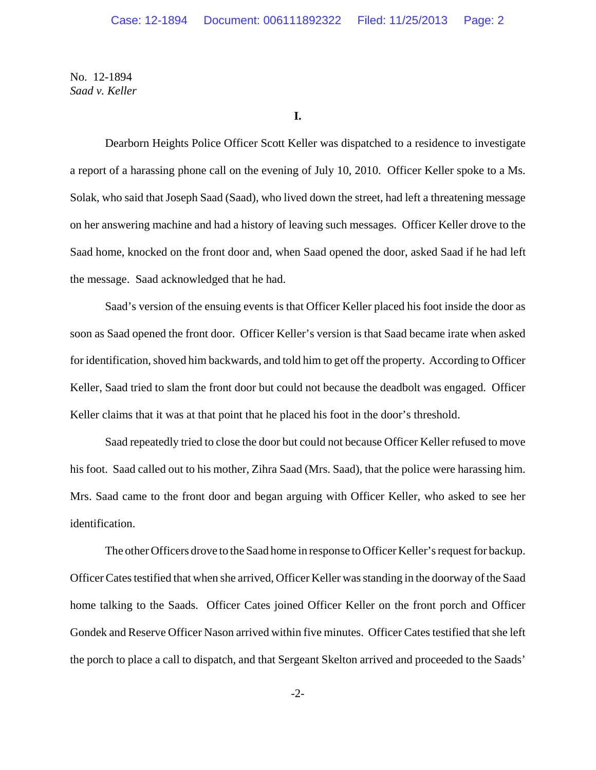**I.**

Dearborn Heights Police Officer Scott Keller was dispatched to a residence to investigate a report of a harassing phone call on the evening of July 10, 2010. Officer Keller spoke to a Ms. Solak, who said that Joseph Saad (Saad), who lived down the street, had left a threatening message on her answering machine and had a history of leaving such messages. Officer Keller drove to the Saad home, knocked on the front door and, when Saad opened the door, asked Saad if he had left the message. Saad acknowledged that he had.

Saad's version of the ensuing events is that Officer Keller placed his foot inside the door as soon as Saad opened the front door. Officer Keller's version is that Saad became irate when asked for identification, shoved him backwards, and told him to get off the property. According to Officer Keller, Saad tried to slam the front door but could not because the deadbolt was engaged. Officer Keller claims that it was at that point that he placed his foot in the door's threshold.

Saad repeatedly tried to close the door but could not because Officer Keller refused to move his foot. Saad called out to his mother, Zihra Saad (Mrs. Saad), that the police were harassing him. Mrs. Saad came to the front door and began arguing with Officer Keller, who asked to see her identification.

The other Officers drove to the Saad home in response to Officer Keller's request for backup. Officer Cates testified that when she arrived, Officer Keller was standing in the doorway of the Saad home talking to the Saads. Officer Cates joined Officer Keller on the front porch and Officer Gondek and Reserve Officer Nason arrived within five minutes. Officer Cates testified that she left the porch to place a call to dispatch, and that Sergeant Skelton arrived and proceeded to the Saads'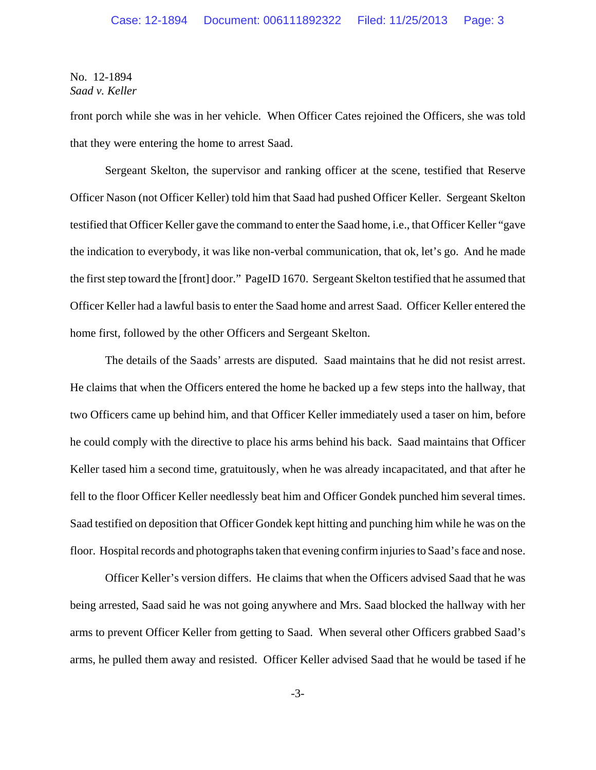front porch while she was in her vehicle. When Officer Cates rejoined the Officers, she was told that they were entering the home to arrest Saad.

Sergeant Skelton, the supervisor and ranking officer at the scene, testified that Reserve Officer Nason (not Officer Keller) told him that Saad had pushed Officer Keller. Sergeant Skelton testified that Officer Keller gave the command to enter the Saad home, i.e., that Officer Keller "gave the indication to everybody, it was like non-verbal communication, that ok, let's go. And he made the first step toward the [front] door." PageID 1670. Sergeant Skelton testified that he assumed that Officer Keller had a lawful basis to enter the Saad home and arrest Saad. Officer Keller entered the home first, followed by the other Officers and Sergeant Skelton.

The details of the Saads' arrests are disputed. Saad maintains that he did not resist arrest. He claims that when the Officers entered the home he backed up a few steps into the hallway, that two Officers came up behind him, and that Officer Keller immediately used a taser on him, before he could comply with the directive to place his arms behind his back. Saad maintains that Officer Keller tased him a second time, gratuitously, when he was already incapacitated, and that after he fell to the floor Officer Keller needlessly beat him and Officer Gondek punched him several times. Saad testified on deposition that Officer Gondek kept hitting and punching him while he was on the floor. Hospital records and photographs taken that evening confirm injuries to Saad's face and nose.

Officer Keller's version differs. He claims that when the Officers advised Saad that he was being arrested, Saad said he was not going anywhere and Mrs. Saad blocked the hallway with her arms to prevent Officer Keller from getting to Saad. When several other Officers grabbed Saad's arms, he pulled them away and resisted. Officer Keller advised Saad that he would be tased if he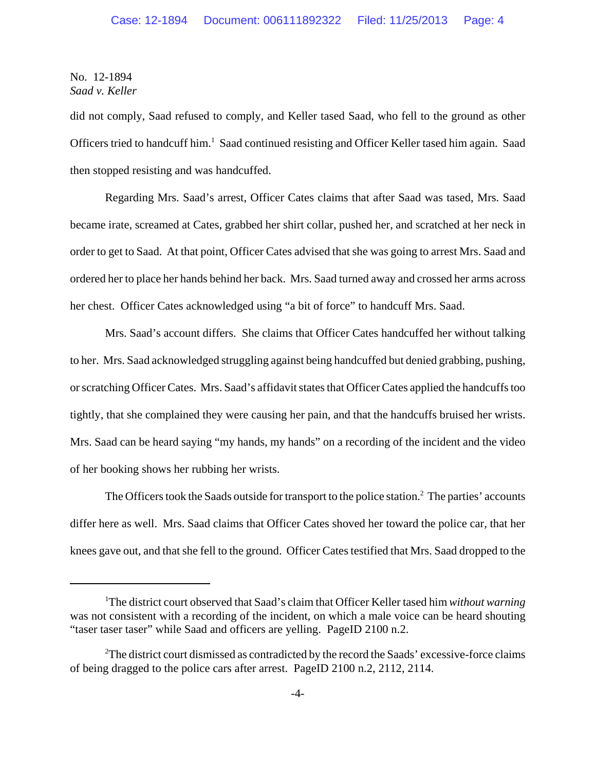did not comply, Saad refused to comply, and Keller tased Saad, who fell to the ground as other Officers tried to handcuff him.<sup>1</sup> Saad continued resisting and Officer Keller tased him again. Saad then stopped resisting and was handcuffed.

Regarding Mrs. Saad's arrest, Officer Cates claims that after Saad was tased, Mrs. Saad became irate, screamed at Cates, grabbed her shirt collar, pushed her, and scratched at her neck in order to get to Saad. At that point, Officer Cates advised that she was going to arrest Mrs. Saad and ordered her to place her hands behind her back. Mrs. Saad turned away and crossed her arms across her chest. Officer Cates acknowledged using "a bit of force" to handcuff Mrs. Saad.

Mrs. Saad's account differs. She claims that Officer Cates handcuffed her without talking to her. Mrs. Saad acknowledged struggling against being handcuffed but denied grabbing, pushing, or scratching Officer Cates. Mrs. Saad's affidavit states that Officer Cates applied the handcuffs too tightly, that she complained they were causing her pain, and that the handcuffs bruised her wrists. Mrs. Saad can be heard saying "my hands, my hands" on a recording of the incident and the video of her booking shows her rubbing her wrists.

The Officers took the Saads outside for transport to the police station.<sup>2</sup> The parties' accounts differ here as well. Mrs. Saad claims that Officer Cates shoved her toward the police car, that her knees gave out, and that she fell to the ground. Officer Cates testified that Mrs. Saad dropped to the

<sup>&</sup>lt;sup>1</sup>The district court observed that Saad's claim that Officer Keller tased him *without warning* was not consistent with a recording of the incident, on which a male voice can be heard shouting "taser taser taser" while Saad and officers are yelling. PageID 2100 n.2.

 $2^2$ The district court dismissed as contradicted by the record the Saads' excessive-force claims of being dragged to the police cars after arrest. PageID 2100 n.2, 2112, 2114.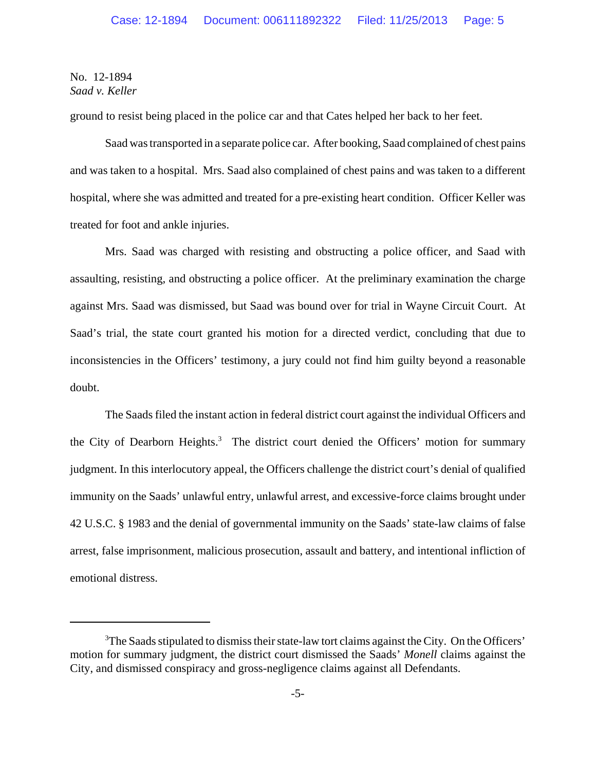ground to resist being placed in the police car and that Cates helped her back to her feet.

Saad was transported in a separate police car. After booking, Saad complained of chest pains and was taken to a hospital. Mrs. Saad also complained of chest pains and was taken to a different hospital, where she was admitted and treated for a pre-existing heart condition. Officer Keller was treated for foot and ankle injuries.

Mrs. Saad was charged with resisting and obstructing a police officer, and Saad with assaulting, resisting, and obstructing a police officer. At the preliminary examination the charge against Mrs. Saad was dismissed, but Saad was bound over for trial in Wayne Circuit Court. At Saad's trial, the state court granted his motion for a directed verdict, concluding that due to inconsistencies in the Officers' testimony, a jury could not find him guilty beyond a reasonable doubt.

The Saads filed the instant action in federal district court against the individual Officers and the City of Dearborn Heights.<sup>3</sup> The district court denied the Officers' motion for summary judgment. In this interlocutory appeal, the Officers challenge the district court's denial of qualified immunity on the Saads' unlawful entry, unlawful arrest, and excessive-force claims brought under 42 U.S.C. § 1983 and the denial of governmental immunity on the Saads' state-law claims of false arrest, false imprisonment, malicious prosecution, assault and battery, and intentional infliction of emotional distress.

<sup>&</sup>lt;sup>3</sup>The Saads stipulated to dismiss their state-law tort claims against the City. On the Officers' motion for summary judgment, the district court dismissed the Saads' *Monell* claims against the City, and dismissed conspiracy and gross-negligence claims against all Defendants.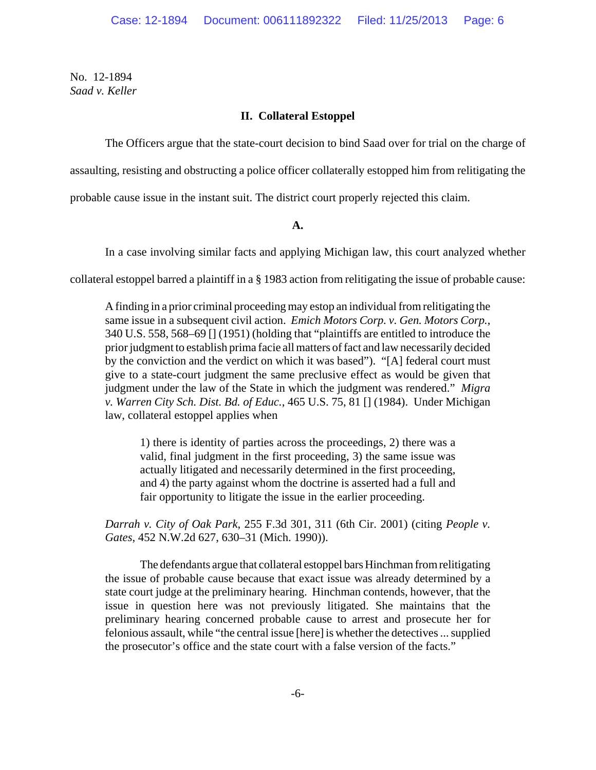# **II. Collateral Estoppel**

The Officers argue that the state-court decision to bind Saad over for trial on the charge of

assaulting, resisting and obstructing a police officer collaterally estopped him from relitigating the

probable cause issue in the instant suit. The district court properly rejected this claim.

### **A.**

In a case involving similar facts and applying Michigan law, this court analyzed whether

collateral estoppel barred a plaintiff in a § 1983 action from relitigating the issue of probable cause:

A finding in a prior criminal proceeding may estop an individual from relitigating the same issue in a subsequent civil action. *Emich Motors Corp. v. Gen. Motors Corp.*, 340 U.S. 558, 568–69 [] (1951) (holding that "plaintiffs are entitled to introduce the prior judgment to establish prima facie all matters of fact and law necessarily decided by the conviction and the verdict on which it was based"). "[A] federal court must give to a state-court judgment the same preclusive effect as would be given that judgment under the law of the State in which the judgment was rendered." *Migra v. Warren City Sch. Dist. Bd. of Educ.*, 465 U.S. 75, 81 [] (1984). Under Michigan law, collateral estoppel applies when

1) there is identity of parties across the proceedings, 2) there was a valid, final judgment in the first proceeding, 3) the same issue was actually litigated and necessarily determined in the first proceeding, and 4) the party against whom the doctrine is asserted had a full and fair opportunity to litigate the issue in the earlier proceeding.

*Darrah v. City of Oak Park*, 255 F.3d 301, 311 (6th Cir. 2001) (citing *People v. Gates*, 452 N.W.2d 627, 630–31 (Mich. 1990)).

The defendants argue that collateral estoppel bars Hinchman from relitigating the issue of probable cause because that exact issue was already determined by a state court judge at the preliminary hearing. Hinchman contends, however, that the issue in question here was not previously litigated. She maintains that the preliminary hearing concerned probable cause to arrest and prosecute her for felonious assault, while "the central issue [here] is whether the detectives ... supplied the prosecutor's office and the state court with a false version of the facts."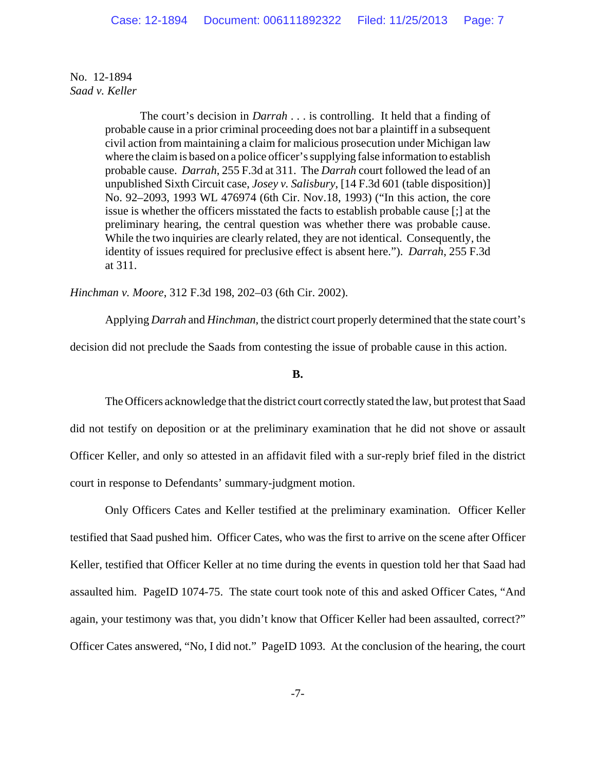> The court's decision in *Darrah* . . . is controlling. It held that a finding of probable cause in a prior criminal proceeding does not bar a plaintiff in a subsequent civil action from maintaining a claim for malicious prosecution under Michigan law where the claim is based on a police officer's supplying false information to establish probable cause. *Darrah*, 255 F.3d at 311. The *Darrah* court followed the lead of an unpublished Sixth Circuit case, *Josey v. Salisbury*, [14 F.3d 601 (table disposition)] No. 92–2093, 1993 WL 476974 (6th Cir. Nov.18, 1993) ("In this action, the core issue is whether the officers misstated the facts to establish probable cause [;] at the preliminary hearing, the central question was whether there was probable cause. While the two inquiries are clearly related, they are not identical. Consequently, the identity of issues required for preclusive effect is absent here."). *Darrah*, 255 F.3d at 311.

*Hinchman v. Moore*, 312 F.3d 198, 202–03 (6th Cir. 2002).

Applying *Darrah* and *Hinchman*, the district court properly determined that the state court's decision did not preclude the Saads from contesting the issue of probable cause in this action.

## **B.**

The Officers acknowledge that the district court correctly stated the law, but protest that Saad did not testify on deposition or at the preliminary examination that he did not shove or assault Officer Keller, and only so attested in an affidavit filed with a sur-reply brief filed in the district court in response to Defendants' summary-judgment motion.

Only Officers Cates and Keller testified at the preliminary examination. Officer Keller testified that Saad pushed him. Officer Cates, who was the first to arrive on the scene after Officer Keller, testified that Officer Keller at no time during the events in question told her that Saad had assaulted him. PageID 1074-75. The state court took note of this and asked Officer Cates, "And again, your testimony was that, you didn't know that Officer Keller had been assaulted, correct?" Officer Cates answered, "No, I did not." PageID 1093. At the conclusion of the hearing, the court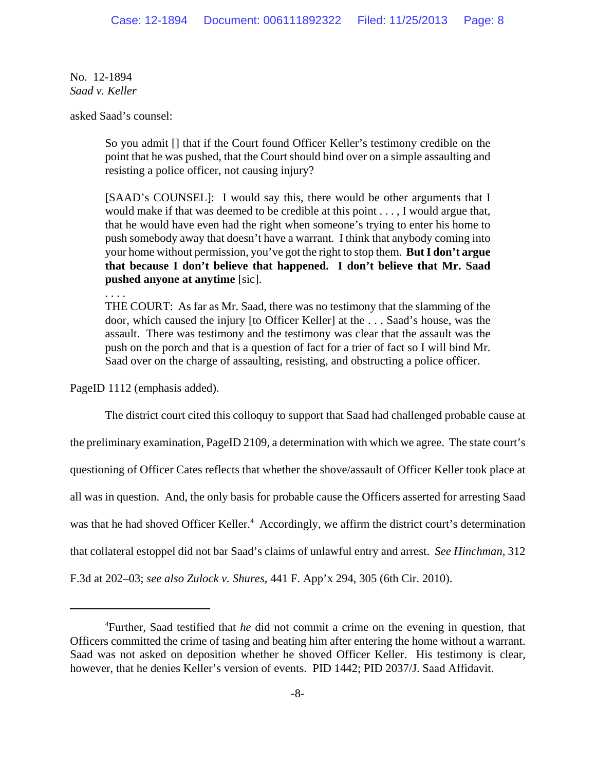asked Saad's counsel:

. . . .

So you admit [] that if the Court found Officer Keller's testimony credible on the point that he was pushed, that the Court should bind over on a simple assaulting and resisting a police officer, not causing injury?

[SAAD's COUNSEL]: I would say this, there would be other arguments that I would make if that was deemed to be credible at this point . . . , I would argue that, that he would have even had the right when someone's trying to enter his home to push somebody away that doesn't have a warrant. I think that anybody coming into your home without permission, you've got the right to stop them. **But I don't argue that because I don't believe that happened. I don't believe that Mr. Saad pushed anyone at anytime** [sic].

THE COURT: As far as Mr. Saad, there was no testimony that the slamming of the door, which caused the injury [to Officer Keller] at the . . . Saad's house, was the assault. There was testimony and the testimony was clear that the assault was the push on the porch and that is a question of fact for a trier of fact so I will bind Mr. Saad over on the charge of assaulting, resisting, and obstructing a police officer.

PageID 1112 (emphasis added).

The district court cited this colloquy to support that Saad had challenged probable cause at the preliminary examination, PageID 2109, a determination with which we agree. The state court's questioning of Officer Cates reflects that whether the shove/assault of Officer Keller took place at all was in question. And, the only basis for probable cause the Officers asserted for arresting Saad was that he had shoved Officer Keller.<sup>4</sup> Accordingly, we affirm the district court's determination that collateral estoppel did not bar Saad's claims of unlawful entry and arrest. *See Hinchman,* 312 F.3d at 202–03; *see also Zulock v. Shures*, 441 F. App'x 294, 305 (6th Cir. 2010).

<sup>4</sup> Further, Saad testified that *he* did not commit a crime on the evening in question, that Officers committed the crime of tasing and beating him after entering the home without a warrant. Saad was not asked on deposition whether he shoved Officer Keller. His testimony is clear, however, that he denies Keller's version of events. PID 1442; PID 2037/J. Saad Affidavit.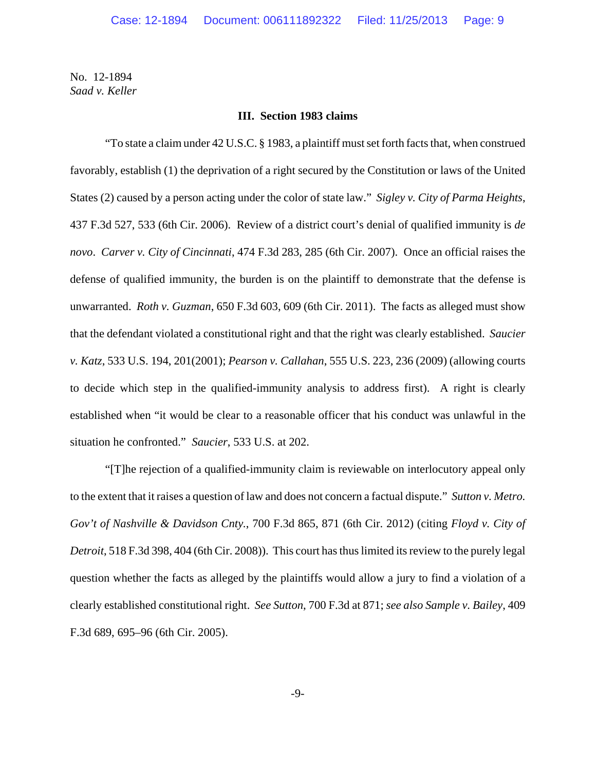#### **III. Section 1983 claims**

"To state a claim under 42 U.S.C. § 1983, a plaintiff must set forth facts that, when construed favorably, establish (1) the deprivation of a right secured by the Constitution or laws of the United States (2) caused by a person acting under the color of state law." *Sigley v. City of Parma Heights*, 437 F.3d 527, 533 (6th Cir. 2006). Review of a district court's denial of qualified immunity is *de novo*. *Carver v. City of Cincinnati*, 474 F.3d 283, 285 (6th Cir. 2007). Once an official raises the defense of qualified immunity, the burden is on the plaintiff to demonstrate that the defense is unwarranted. *Roth v. Guzman*, 650 F.3d 603, 609 (6th Cir. 2011). The facts as alleged must show that the defendant violated a constitutional right and that the right was clearly established. *Saucier v. Katz*, 533 U.S. 194, 201(2001); *Pearson v. Callahan*, 555 U.S. 223, 236 (2009) (allowing courts to decide which step in the qualified-immunity analysis to address first). A right is clearly established when "it would be clear to a reasonable officer that his conduct was unlawful in the situation he confronted." *Saucier*, 533 U.S. at 202.

"[T]he rejection of a qualified-immunity claim is reviewable on interlocutory appeal only to the extent that it raises a question of law and does not concern a factual dispute." *Sutton v. Metro. Gov't of Nashville & Davidson Cnty.*, 700 F.3d 865, 871 (6th Cir. 2012) (citing *Floyd v. City of Detroit*, 518 F.3d 398, 404 (6th Cir. 2008)). This court has thus limited its review to the purely legal question whether the facts as alleged by the plaintiffs would allow a jury to find a violation of a clearly established constitutional right. *See Sutton*, 700 F.3d at 871; *see also Sample v. Bailey*, 409 F.3d 689, 695–96 (6th Cir. 2005).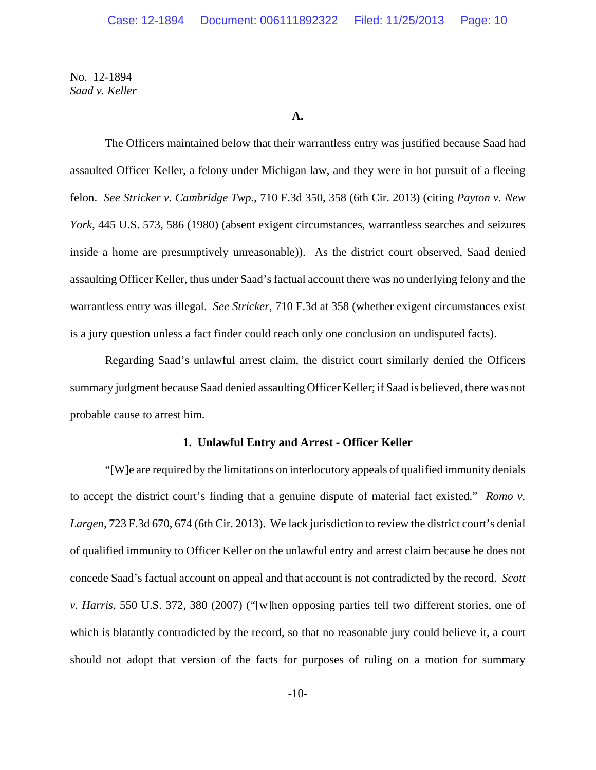#### **A.**

The Officers maintained below that their warrantless entry was justified because Saad had assaulted Officer Keller, a felony under Michigan law, and they were in hot pursuit of a fleeing felon. *See Stricker v. Cambridge Twp.*, 710 F.3d 350, 358 (6th Cir. 2013) (citing *Payton v. New York*, 445 U.S. 573, 586 (1980) (absent exigent circumstances, warrantless searches and seizures inside a home are presumptively unreasonable)). As the district court observed, Saad denied assaulting Officer Keller, thus under Saad's factual account there was no underlying felony and the warrantless entry was illegal. *See Stricker*, 710 F.3d at 358 (whether exigent circumstances exist is a jury question unless a fact finder could reach only one conclusion on undisputed facts).

Regarding Saad's unlawful arrest claim, the district court similarly denied the Officers summary judgment because Saad denied assaulting Officer Keller; if Saad is believed, there was not probable cause to arrest him.

### **1. Unlawful Entry and Arrest - Officer Keller**

"[W]e are required by the limitations on interlocutory appeals of qualified immunity denials to accept the district court's finding that a genuine dispute of material fact existed." *Romo v. Largen*, 723 F.3d 670, 674 (6th Cir. 2013). We lack jurisdiction to review the district court's denial of qualified immunity to Officer Keller on the unlawful entry and arrest claim because he does not concede Saad's factual account on appeal and that account is not contradicted by the record. *Scott v. Harris*, 550 U.S. 372, 380 (2007) ("[w]hen opposing parties tell two different stories, one of which is blatantly contradicted by the record, so that no reasonable jury could believe it, a court should not adopt that version of the facts for purposes of ruling on a motion for summary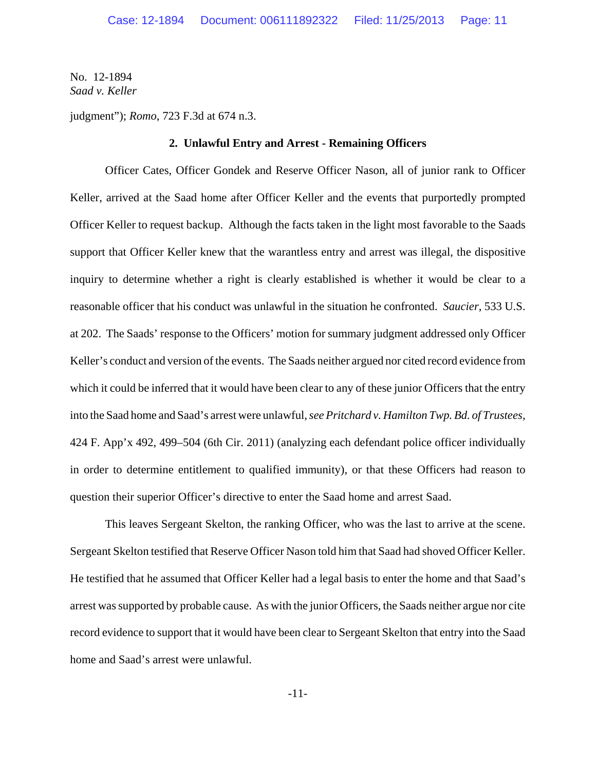judgment"); *Romo*, 723 F.3d at 674 n.3.

### **2. Unlawful Entry and Arrest - Remaining Officers**

Officer Cates, Officer Gondek and Reserve Officer Nason, all of junior rank to Officer Keller, arrived at the Saad home after Officer Keller and the events that purportedly prompted Officer Keller to request backup. Although the facts taken in the light most favorable to the Saads support that Officer Keller knew that the warantless entry and arrest was illegal, the dispositive inquiry to determine whether a right is clearly established is whether it would be clear to a reasonable officer that his conduct was unlawful in the situation he confronted. *Saucier*, 533 U.S. at 202. The Saads' response to the Officers' motion for summary judgment addressed only Officer Keller's conduct and version of the events. The Saads neither argued nor cited record evidence from which it could be inferred that it would have been clear to any of these junior Officers that the entry into the Saad home and Saad's arrest were unlawful, *see Pritchard v. Hamilton Twp. Bd. of Trustees*, 424 F. App'x 492, 499–504 (6th Cir. 2011) (analyzing each defendant police officer individually in order to determine entitlement to qualified immunity), or that these Officers had reason to question their superior Officer's directive to enter the Saad home and arrest Saad.

This leaves Sergeant Skelton, the ranking Officer, who was the last to arrive at the scene. Sergeant Skelton testified that Reserve Officer Nason told him that Saad had shoved Officer Keller. He testified that he assumed that Officer Keller had a legal basis to enter the home and that Saad's arrest was supported by probable cause. As with the junior Officers, the Saads neither argue nor cite record evidence to support that it would have been clear to Sergeant Skelton that entry into the Saad home and Saad's arrest were unlawful.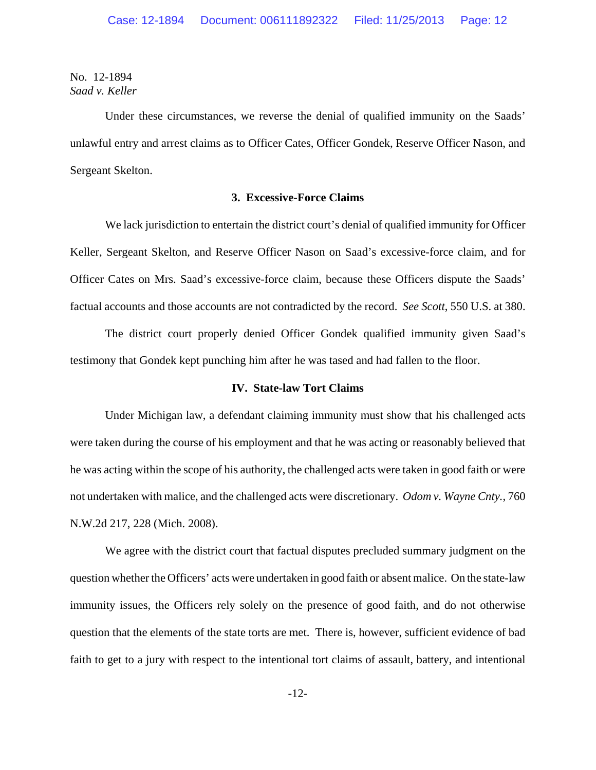Under these circumstances, we reverse the denial of qualified immunity on the Saads' unlawful entry and arrest claims as to Officer Cates, Officer Gondek, Reserve Officer Nason, and Sergeant Skelton.

### **3. Excessive-Force Claims**

We lack jurisdiction to entertain the district court's denial of qualified immunity for Officer Keller, Sergeant Skelton, and Reserve Officer Nason on Saad's excessive-force claim, and for Officer Cates on Mrs. Saad's excessive-force claim, because these Officers dispute the Saads' factual accounts and those accounts are not contradicted by the record. *See Scott*, 550 U.S. at 380.

The district court properly denied Officer Gondek qualified immunity given Saad's testimony that Gondek kept punching him after he was tased and had fallen to the floor.

### **IV. State-law Tort Claims**

Under Michigan law, a defendant claiming immunity must show that his challenged acts were taken during the course of his employment and that he was acting or reasonably believed that he was acting within the scope of his authority, the challenged acts were taken in good faith or were not undertaken with malice, and the challenged acts were discretionary. *Odom v. Wayne Cnty.*, 760 N.W.2d 217, 228 (Mich. 2008).

We agree with the district court that factual disputes precluded summary judgment on the question whether the Officers' acts were undertaken in good faith or absent malice. On the state-law immunity issues, the Officers rely solely on the presence of good faith, and do not otherwise question that the elements of the state torts are met. There is, however, sufficient evidence of bad faith to get to a jury with respect to the intentional tort claims of assault, battery, and intentional